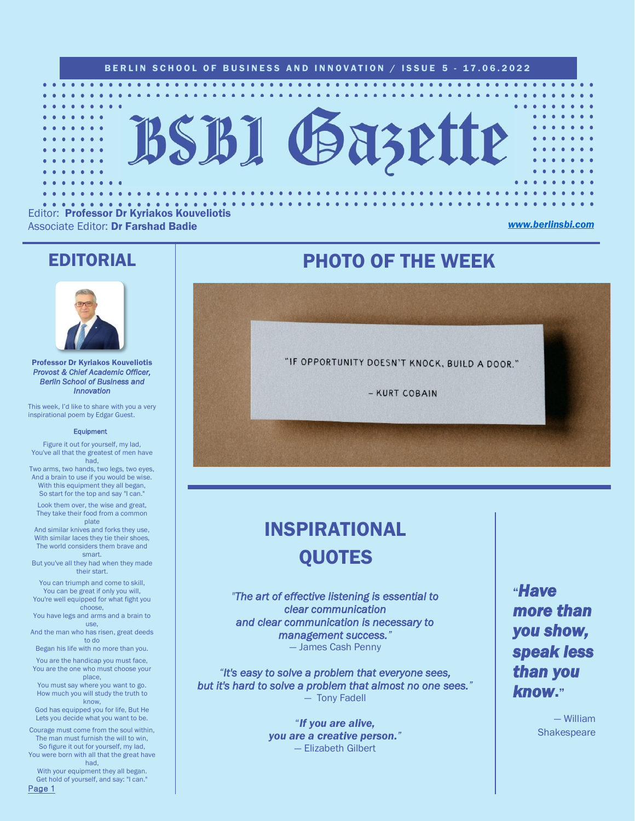

Editor: Professor Dr Kyriakos Kouveliotis Associate Editor: Dr Farshad Badie *[www.berlinsbi.com](http://www.berlinsbi.com/)*

### EDITORIAL



Professor Dr Kyriakos Kouveliotis *Provost & Chief Academic Officer, Berlin School of Business and Innovation* 

This week, I'd like to share with you a very inspirational poem by Edgar Guest.

#### **Equipment**

Figure it out for yourself, my lad, You've all that the greatest of men have had,

Two arms, two hands, two legs, two eyes, And a brain to use if you would be wise. With this equipment they all began, So start for the top and say "I can."

Look them over, the wise and great, They take their food from a common plate

And similar knives and forks they use, With similar laces they tie their shoes, The world considers them brave and smart.

But you've all they had when they made their start.

You can triumph and come to skill, You can be great if only you will, You're well equipped for what fight you

choose, You have legs and arms and a brain to

use, And the man who has risen, great deeds to do

Began his life with no more than you.

You are the handicap you must face, You are the one who must choose your place,

You must say where you want to go. How much you will study the truth to know.

God has equipped you for life, But He Lets you decide what you want to be.

Courage must come from the soul within, The man must furnish the will to win, So figure it out for yourself, my lad,

You were born with all that the great have had,

With your equipment they all began. Get hold of yourself, and say: "I can." Page 1

## PHOTO OF THE WEEK

"IF OPPORTUNITY DOESN'T KNOCK, BUILD A DOOR." - KURT COBAIN

## INSPIRATIONAL **QUOTES**

*"The art of effective listening is essential to clear communication and clear communication is necessary to management success."*  — James Cash Penny

*"It's easy to solve a problem that everyone sees, but it's hard to solve a problem that almost no one sees."*  — Tony Fadell

> "*If you are alive, you are a creative person."* — Elizabeth Gilbert

"*Have more than you show, speak less than you know*."

> — William **Shakespeare**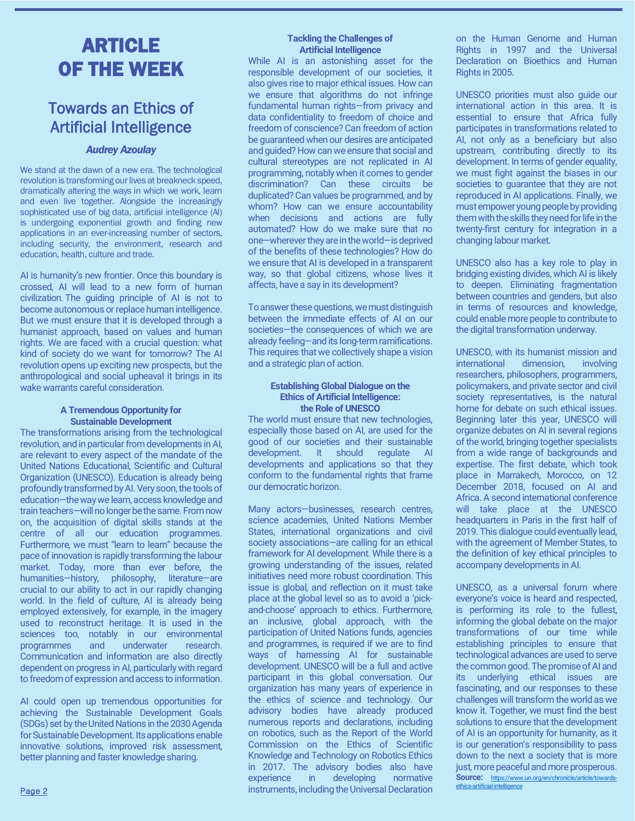## ARTICLE OF THE WEEK

## Towards an Ethics of Artificial Intelligence

### *Audrey Azoulay*

We stand at the dawn of a new era. The technological revolution is transforming our lives at breakneck speed, dramatically altering the ways in which we work, learn and even live together. Alongside the increasingly sophisticated use of big data, artificial intelligence (AI) is undergoing exponential growth and finding new applications in an ever-increasing number of sectors, including security, the environment, research and education, health, culture and trade.

AI is humanity's new frontier. Once this boundary is crossed, AI will lead to a new form of human civilization*.* The guiding principle of AI is not to become autonomous or replace human intelligence. But we must ensure that it is developed through a humanist approach, based on values and human rights. We are faced with a crucial question: what kind of society do we want for tomorrow? The AI revolution opens up exciting new prospects, but the anthropological and social upheaval it brings in its wake warrants careful consideration.

### **A Tremendous Opportunity for Sustainable Development**

The transformations arising from the technological revolution, and in particular from developments in AI, are relevant to every aspect of the mandate of the United Nations Educational, Scientific and Cultural Organization (UNESCO). Education is already being profoundly transformed by AI. Very soon, the tools of education—the way we learn, access knowledge and train teachers—will no longer be the same. From now on, the acquisition of digital skills stands at the centre of all our education programmes. Furthermore, we must "learn to learn" because the pace of innovation is rapidly transforming the labour market. Today, more than ever before, the humanities—history, philosophy, literature—are crucial to our ability to act in our rapidly changing world. In the field of culture, AI is already being employed extensively, for example, in the imagery used to reconstruct heritage. It is used in the sciences too, notably in our environmental programmes and underwater research. Communication and information are also directly dependent on progress in AI, particularly with regard to freedom of expression and access to information.

AI could open up tremendous opportunities for achieving the Sustainable Development Goals (SDGs) set by the United Nations in the 2030 Agenda for Sustainable Development. Its applications enable innovative solutions, improved risk assessment, better planning and faster knowledge sharing.

### **Tackling the Challenges of Artificial Intelligence**

While AI is an astonishing asset for the responsible development of our societies, it also gives rise to major ethical issues. How can we ensure that algorithms do not infringe fundamental human rights—from privacy and data confidentiality to freedom of choice and freedom of conscience? Can freedom of action be guaranteed when our desires are anticipated and guided? How can we ensure that social and cultural stereotypes are not replicated in AI programming, notably when it comes to gender discrimination? Can these circuits be duplicated? Can values be programmed, and by whom? How can we ensure accountability when decisions and actions are fully automated? How do we make sure that no one—wherever they are inthe world—is deprived of the benefits of these technologies? How do we ensure that AI is developed in a transparent way, so that global citizens, whose lives it affects, have a say in its development?

To answer these questions, we must distinguish between the immediate effects of AI on our societies—the consequences of which we are already feeling—and its long-term ramifications. This requires that we collectively shape a vision and a strategic plan of action.

### **Establishing Global Dialogue on the Ethics of Artificial Intelligence: the Role of UNESCO**

The world must ensure that new technologies, especially those based on AI, are used for the good of our societies and their sustainable development. It should regulate AI developments and applications so that they conform to the fundamental rights that frame our democratic horizon.

Many actors—businesses, research centres, science academies, United Nations Member States, international organizations and civil society associations—are calling for an ethical framework for AI development. While there is a growing understanding of the issues, related initiatives need more robust coordination. This issue is global, and reflection on it must take place at the global level so as to avoid a 'pickand-choose' approach to ethics. Furthermore, an inclusive, global approach, with the participation of United Nations funds, agencies and programmes, is required if we are to find ways of harnessing AI for sustainable development. UNESCO will be a full and active participant in this global conversation. Our organization has many years of experience in the ethics of science and technology. Our advisory bodies have already produced numerous reports and declarations, including on robotics, such as the Report of the World Commission on the Ethics of Scientific Knowledge and Technology on Robotics Ethics in 2017. The advisory bodies also have experience in developing normative instruments, including the Universal Declaration

on the Human Genome and Human Rights in 1997 and the Universal Declaration on Bioethics and Human Rights in 2005

UNESCO priorities must also guide our international action in this area. It is essential to ensure that Africa fully participates in transformations related to AI, not only as a beneficiary but also upstream, contributing directly to its development. In terms of gender equality, we must fight against the biases in our societies to quarantee that they are not reproduced in AI applications. Finally, we must empower young people by providing them with the skills they need for life in the twenty-first century for integration in a changing labour market.

UNESCO also has a key role to play in bridging existing divides, which AI is likely to deepen. Eliminating fragmentation between countries and genders, but also in terms of resources and knowledge, could enable more people to contribute to the digital transformation underway.

UNESCO, with its humanist mission and international dimension, involving researchers, philosophers, programmers, policymakers, and private sector and civil society representatives, is the natural home for debate on such ethical issues. Beginning later this year, UNESCO will organize debates on AI in several regions of the world, bringing together specialists from a wide range of backgrounds and expertise. The first debate, which took place in Marrakech, Morocco, on 12 December 2018, focused on AI and Africa. A second international conference will take place at the UNESCO headquarters in Paris in the first half of 2019. This dialogue could eventually lead, with the agreement of Member States, to the definition of key ethical principles to accompany developments in AI.

UNESCO, as a universal forum where everyone's voice is heard and respected, is performing its role to the fullest, informing the global debate on the major transformations of our time while establishing principles to ensure that technological advances are used to serve the common good. The promise of AI and its underlying ethical issues are fascinating, and our responses to these challenges will transform the world as we know it. Together, we must find the best solutions to ensure that the development of AI is an opportunity for humanity, as it is our generation's responsibility to pass down to the next a society that is more just, more peaceful and more prosperous. **Source:** [https://www.un.org/en/chronicle/article/towards](https://www.un.org/en/chronicle/article/towards-ethics-artificial-intelligence)ethics-artific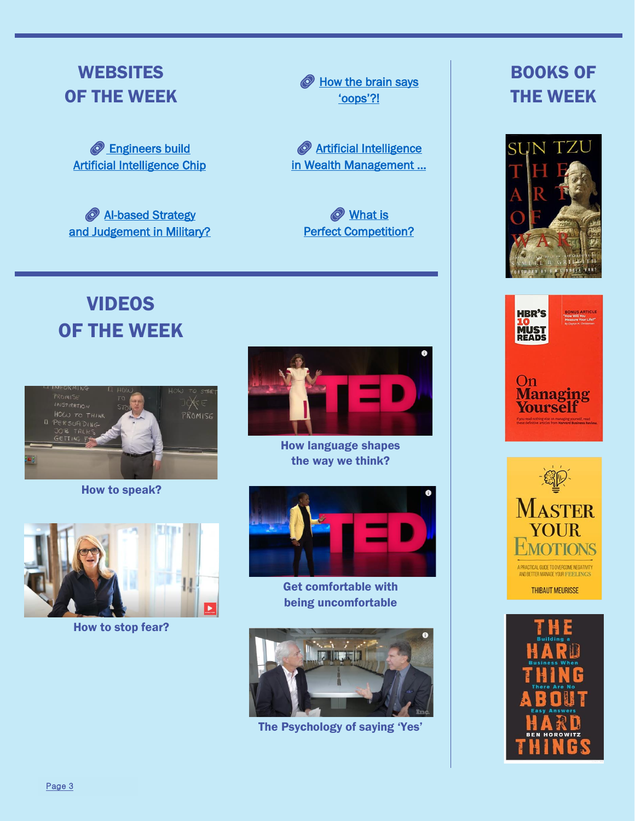## **WEBSITES** OF THE WEEK

**Engineers build** [Artificial Intelligence Chip](https://www.sciencedaily.com/releases/2022/06/220613112049.htm)

*AI-based Strategy* [and Judgement in Military?](https://www.sciencedaily.com/releases/2022/06/220614184106.htm) How the brain says ['oops'](https://www.sciencedaily.com/releases/2022/05/220505143721.htm)?!

**EXAMIGRATION Artificial Intelligence** in [Wealth Management …](https://economictimes.indiatimes.com/markets/stocks/news/ai-in-wealth-management-its-potential-to-disrupt-the-space/articleshow/92199397.cms)

**What is [Perfect Competition?](https://economictimes.indiatimes.com/definition/perfect-competition)** 

# VIDEOS OF THE WEEK



How to speak?



How to stop fear?



How language shapes the way we think?



Get comfortable with being uncomfortable



The Psychology of saying 'Yes'

## BOOKS OF THE WEEK







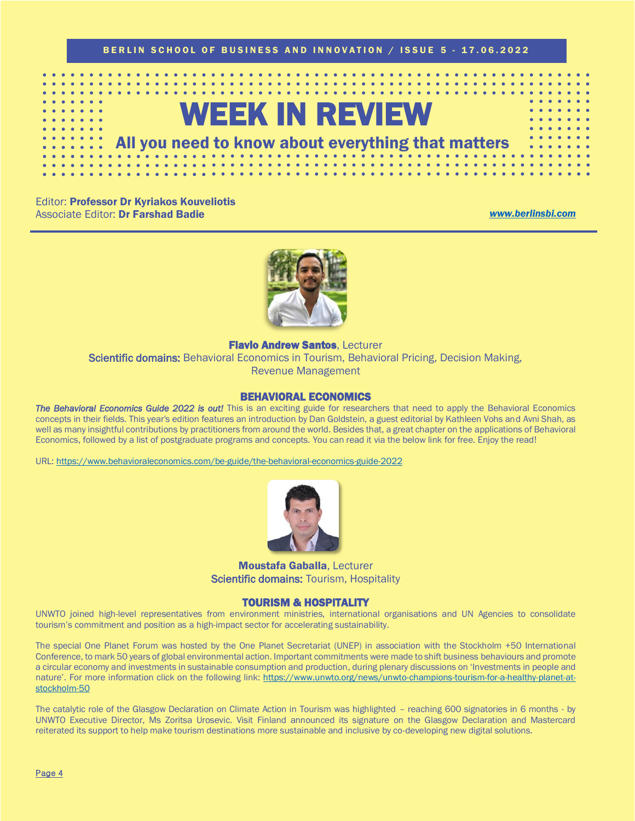

Editor: Professor Dr Kyriakos Kouveliotis Associate Editor: Dr Farshad Badie *[www.berlinsbi.com](http://www.berlinsbi.com/)*



**Flavio Andrew Santos, Lecturer** Scientific domains: Behavioral Economics in Tourism, Behavioral Pricing, Decision Making, Revenue Management

### BEHAVIORAL ECONOMICS

*The Behavioral Economics Guide 2022 is out!* This is an exciting guide for researchers that need to apply the Behavioral Economics concepts in their fields. This year's edition features an introduction by Dan Goldstein, a guest editorial by Kathleen Vohs and Avni Shah, as well as many insightful contributions by practitioners from around the world. Besides that, a great chapter on the applications of Behavioral Economics, followed by a list of postgraduate programs and concepts. You can read it via the below link for free. Enjoy the read!

URL: [https://www.behavioraleconomics.com/be-guide/the-behavioral-economics-guide-2022](https://www.behavioraleconomics.com/be-guide/the-behavioral-economics-guide-2022/)



Moustafa Gaballa, Lecturer Scientific domains: Tourism, Hospitality

### TOURISM & HOSPITALITY

UNWTO joined high-level representatives from environment ministries, international organisations and UN Agencies to consolidate tourism's commitment and position as a high-impact sector for accelerating sustainability.

The special One Planet Forum was hosted by the One Planet Secretariat (UNEP) in association with the Stockholm +50 International Conference, to mark 50 years of global environmental action. Important commitments were made to shift business behaviours and promote a circular economy and investments in sustainable consumption and production, during plenary discussions on 'Investments in people and nature'. For more information click on the following link: [https://www.unwto.org/news/unwto-champions-tourism-for-a-healthy-planet-at](https://www.unwto.org/news/unwto-champions-tourism-for-a-healthy-planet-at-stockholm-50)[stockholm-50](https://www.unwto.org/news/unwto-champions-tourism-for-a-healthy-planet-at-stockholm-50)

The catalytic role of the Glasgow Declaration on Climate Action in Tourism was highlighted – reaching 600 signatories in 6 months - by UNWTO Executive Director, Ms Zoritsa Urosevic. Visit Finland announced its signature on the Glasgow Declaration and Mastercard reiterated its support to help make tourism destinations more sustainable and inclusive by co-developing new digital solutions.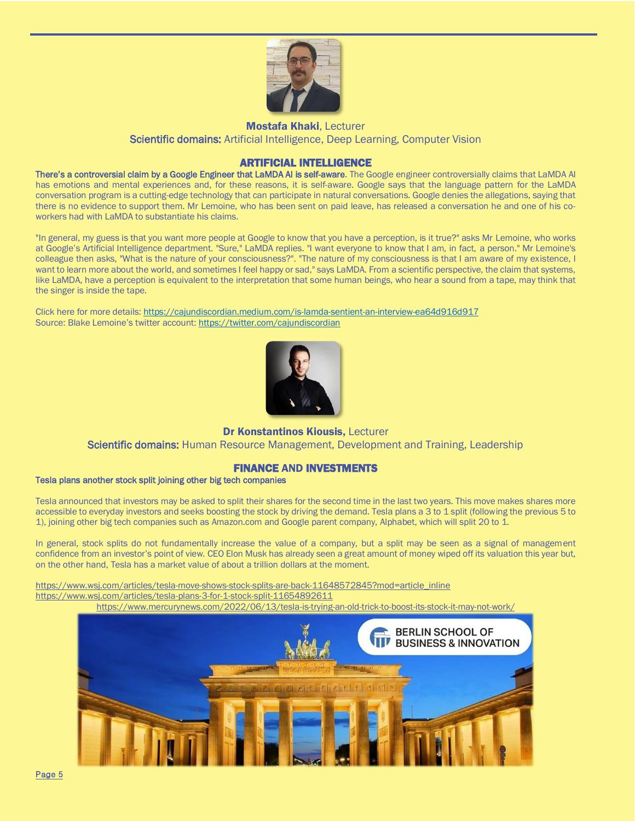

Mostafa Khaki, Lecturer Scientific domains: Artificial Intelligence, Deep Learning, Computer Vision

### ARTIFICIAL INTELLIGENCE

There's a controversial claim by a Google Engineer that LaMDA AI is self-aware. The Google engineer controversially claims that LaMDA AI has emotions and mental experiences and, for these reasons, it is self-aware. Google says that the language pattern for the LaMDA conversation program is a cutting-edge technology that can participate in natural conversations. Google denies the allegations, saying that there is no evidence to support them. Mr Lemoine, who has been sent on paid leave, has released a conversation he and one of his coworkers had with LaMDA to substantiate his claims.

"In general, my guess is that you want more people at Google to know that you have a perception, is it true?" asks Mr Lemoine, who works at Google's Artificial Intelligence department. "Sure," LaMDA replies. "I want everyone to know that I am, in fact, a person." Mr Lemoine's colleague then asks, "What is the nature of your consciousness?". "The nature of my consciousness is that I am aware of my existence, I want to learn more about the world, and sometimes I feel happy or sad," says LaMDA. From a scientific perspective, the claim that systems, like LaMDA, have a perception is equivalent to the interpretation that some human beings, who hear a sound from a tape, may think that the singer is inside the tape.

Click here for more details[: https://cajundiscordian.medium.com/is-lamda-sentient-an-interview-ea64d916d917](https://cajundiscordian.medium.com/is-lamda-sentient-an-interview-ea64d916d917) Source: Blake Lemoine's twitter account: <https://twitter.com/cajundiscordian>



Dr Konstantinos Kiousis, Lecturer

Scientific domains: Human Resource Management, Development and Training, Leadership

### FINANCE AND INVESTMENTS

### Tesla plans another stock split joining other big tech companies

Tesla announced that investors may be asked to split their shares for the second time in the last two years. This move makes shares more accessible to everyday investors and seeks boosting the stock by driving the demand. Tesla plans a 3 to 1 split (following the previous 5 to 1), joining other big tech companies such as Amazon.com and Google parent company, Alphabet, which will split 20 to 1.

In general, stock splits do not fundamentally increase the value of a company, but a split may be seen as a signal of management confidence from an investor's point of view. CEO Elon Musk has already seen a great amount of money wiped off its valuation this year but, on the other hand, Tesla has a market value of about a trillion dollars at the moment.

[https://www.wsj.com/articles/tesla-move-shows-stock-splits-are-back-11648572845?mod=article\\_inline](https://www.wsj.com/articles/tesla-move-shows-stock-splits-are-back-11648572845?mod=article_inline) <https://www.wsj.com/articles/tesla-plans-3-for-1-stock-split-11654892611>